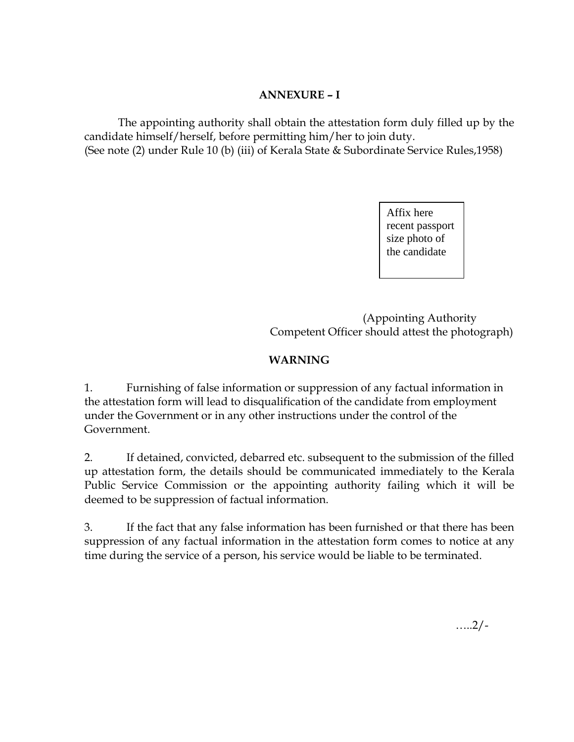## **ANNEXURE – I**

The appointing authority shall obtain the attestation form duly filled up by the candidate himself/herself, before permitting him/her to join duty. (See note (2) under Rule 10 (b) (iii) of Kerala State & Subordinate Service Rules,1958)

> Affix here recent passport size photo of the candidate

 (Appointing Authority Competent Officer should attest the photograph)

## **WARNING**

1. Furnishing of false information or suppression of any factual information in the attestation form will lead to disqualification of the candidate from employment under the Government or in any other instructions under the control of the Government.

2. If detained, convicted, debarred etc. subsequent to the submission of the filled up attestation form, the details should be communicated immediately to the Kerala Public Service Commission or the appointing authority failing which it will be deemed to be suppression of factual information.

3. If the fact that any false information has been furnished or that there has been suppression of any factual information in the attestation form comes to notice at any time during the service of a person, his service would be liable to be terminated.

…..2/-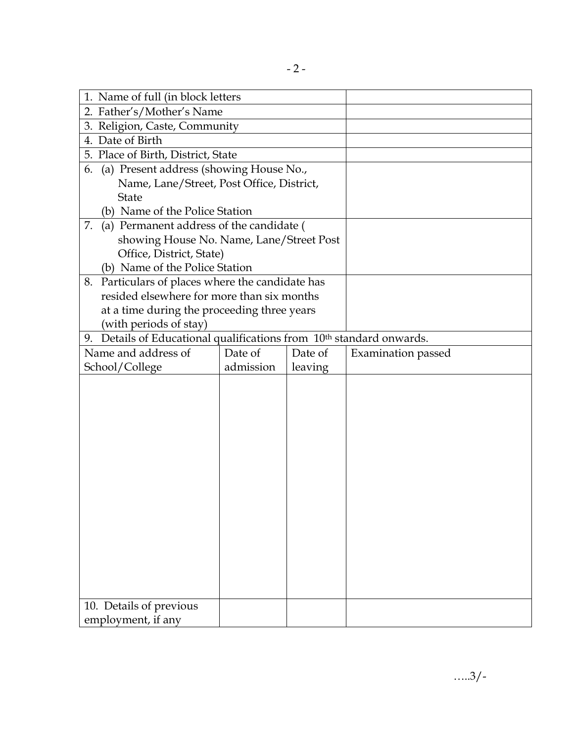| 1. Name of full (in block letters                                                                          |           |         |                    |  |
|------------------------------------------------------------------------------------------------------------|-----------|---------|--------------------|--|
| 2. Father's/Mother's Name                                                                                  |           |         |                    |  |
| 3. Religion, Caste, Community                                                                              |           |         |                    |  |
| 4. Date of Birth                                                                                           |           |         |                    |  |
| 5. Place of Birth, District, State                                                                         |           |         |                    |  |
| (a) Present address (showing House No.,<br>6.                                                              |           |         |                    |  |
| Name, Lane/Street, Post Office, District,                                                                  |           |         |                    |  |
| <b>State</b>                                                                                               |           |         |                    |  |
| (b) Name of the Police Station                                                                             |           |         |                    |  |
| 7.<br>(a) Permanent address of the candidate (                                                             |           |         |                    |  |
| showing House No. Name, Lane/Street Post                                                                   |           |         |                    |  |
| Office, District, State)                                                                                   |           |         |                    |  |
| (b) Name of the Police Station                                                                             |           |         |                    |  |
| Particulars of places where the candidate has<br>8.                                                        |           |         |                    |  |
| resided elsewhere for more than six months                                                                 |           |         |                    |  |
| at a time during the proceeding three years                                                                |           |         |                    |  |
| (with periods of stay)<br>9. Details of Educational qualifications from 10 <sup>th</sup> standard onwards. |           |         |                    |  |
|                                                                                                            | Date of   | Date of |                    |  |
| Name and address of                                                                                        |           |         | Examination passed |  |
| School/College                                                                                             | admission | leaving |                    |  |
|                                                                                                            |           |         |                    |  |
|                                                                                                            |           |         |                    |  |
|                                                                                                            |           |         |                    |  |
|                                                                                                            |           |         |                    |  |
|                                                                                                            |           |         |                    |  |
|                                                                                                            |           |         |                    |  |
|                                                                                                            |           |         |                    |  |
|                                                                                                            |           |         |                    |  |
|                                                                                                            |           |         |                    |  |
|                                                                                                            |           |         |                    |  |
|                                                                                                            |           |         |                    |  |
|                                                                                                            |           |         |                    |  |
|                                                                                                            |           |         |                    |  |
|                                                                                                            |           |         |                    |  |
|                                                                                                            |           |         |                    |  |
| 10. Details of previous                                                                                    |           |         |                    |  |
| employment, if any                                                                                         |           |         |                    |  |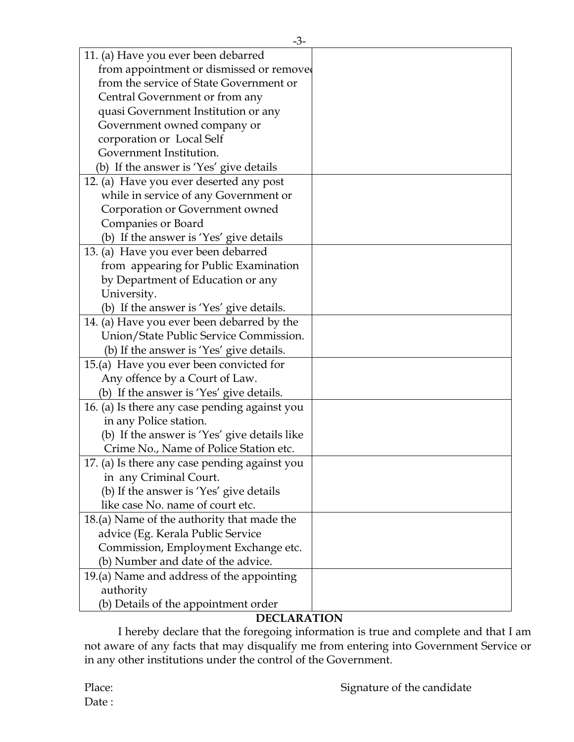| 11. (a) Have you ever been debarred           |  |
|-----------------------------------------------|--|
| from appointment or dismissed or removed      |  |
| from the service of State Government or       |  |
| Central Government or from any                |  |
| quasi Government Institution or any           |  |
| Government owned company or                   |  |
| corporation or Local Self                     |  |
| Government Institution.                       |  |
| (b) If the answer is 'Yes' give details       |  |
| 12. (a) Have you ever deserted any post       |  |
| while in service of any Government or         |  |
| Corporation or Government owned               |  |
| Companies or Board                            |  |
| (b) If the answer is 'Yes' give details       |  |
| 13. (a) Have you ever been debarred           |  |
| from appearing for Public Examination         |  |
| by Department of Education or any             |  |
| University.                                   |  |
| (b) If the answer is 'Yes' give details.      |  |
| 14. (a) Have you ever been debarred by the    |  |
| Union/State Public Service Commission.        |  |
| (b) If the answer is 'Yes' give details.      |  |
| 15.(a) Have you ever been convicted for       |  |
| Any offence by a Court of Law.                |  |
| (b) If the answer is 'Yes' give details.      |  |
| 16. (a) Is there any case pending against you |  |
| in any Police station.                        |  |
| (b) If the answer is 'Yes' give details like  |  |
| Crime No., Name of Police Station etc.        |  |
| 17. (a) Is there any case pending against you |  |
| in any Criminal Court.                        |  |
| (b) If the answer is 'Yes' give details       |  |
| like case No. name of court etc.              |  |
| 18.(a) Name of the authority that made the    |  |
| advice (Eg. Kerala Public Service             |  |
| Commission, Employment Exchange etc.          |  |
| (b) Number and date of the advice.            |  |
| 19.(a) Name and address of the appointing     |  |
| authority                                     |  |
| (b) Details of the appointment order          |  |

## **DECLARATION**

I hereby declare that the foregoing information is true and complete and that I am not aware of any facts that may disqualify me from entering into Government Service or in any other institutions under the control of the Government.